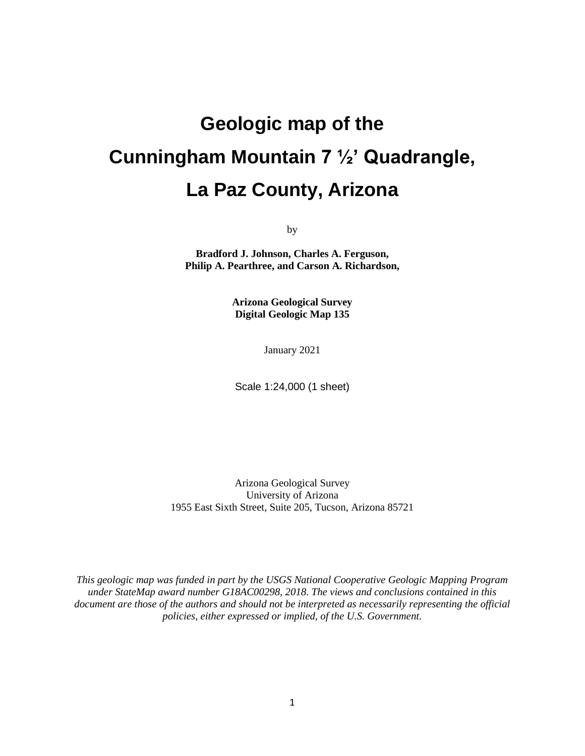# **Geologic map of the Cunningham Mountain 7 ½' Quadrangle, La Paz County, Arizona**

by

**Bradford J. Johnson, Charles A. Ferguson, Philip A. Pearthree, and Carson A. Richardson,**

> **Arizona Geological Survey Digital Geologic Map 135**

> > January 2021

Scale 1:24,000 (1 sheet)

Arizona Geological Survey University of Arizona 1955 East Sixth Street, Suite 205, Tucson, Arizona 85721

*This geologic map was funded in part by the USGS National Cooperative Geologic Mapping Program under StateMap award number G18AC00298, 2018. The views and conclusions contained in this document are those of the authors and should not be interpreted as necessarily representing the official policies, either expressed or implied, of the U.S. Government.*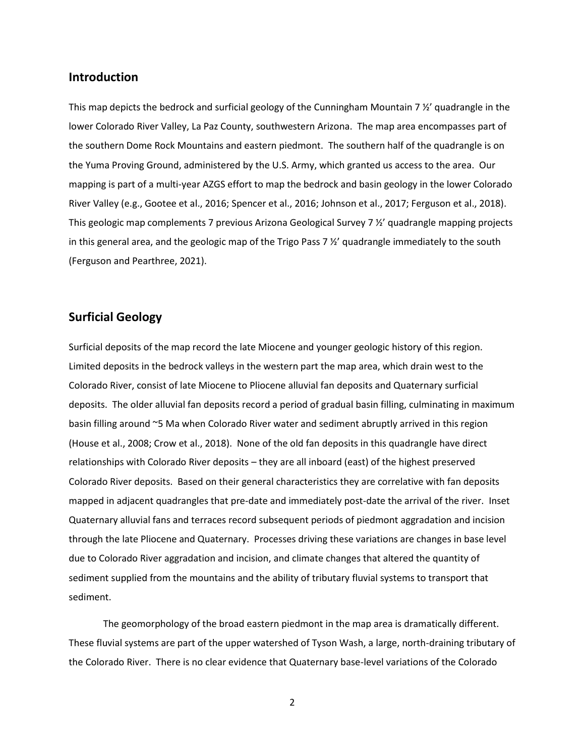## **Introduction**

This map depicts the bedrock and surficial geology of the Cunningham Mountain 7 ½' quadrangle in the lower Colorado River Valley, La Paz County, southwestern Arizona. The map area encompasses part of the southern Dome Rock Mountains and eastern piedmont. The southern half of the quadrangle is on the Yuma Proving Ground, administered by the U.S. Army, which granted us access to the area. Our mapping is part of a multi-year AZGS effort to map the bedrock and basin geology in the lower Colorado River Valley (e.g., Gootee et al., 2016; Spencer et al., 2016; Johnson et al., 2017; Ferguson et al., 2018). This geologic map complements 7 previous Arizona Geological Survey 7 ½' quadrangle mapping projects in this general area, and the geologic map of the Trigo Pass 7  $\frac{1}{2}$  quadrangle immediately to the south (Ferguson and Pearthree, 2021).

## **Surficial Geology**

Surficial deposits of the map record the late Miocene and younger geologic history of this region. Limited deposits in the bedrock valleys in the western part the map area, which drain west to the Colorado River, consist of late Miocene to Pliocene alluvial fan deposits and Quaternary surficial deposits. The older alluvial fan deposits record a period of gradual basin filling, culminating in maximum basin filling around ~5 Ma when Colorado River water and sediment abruptly arrived in this region (House et al., 2008; Crow et al., 2018). None of the old fan deposits in this quadrangle have direct relationships with Colorado River deposits – they are all inboard (east) of the highest preserved Colorado River deposits. Based on their general characteristics they are correlative with fan deposits mapped in adjacent quadrangles that pre-date and immediately post-date the arrival of the river. Inset Quaternary alluvial fans and terraces record subsequent periods of piedmont aggradation and incision through the late Pliocene and Quaternary. Processes driving these variations are changes in base level due to Colorado River aggradation and incision, and climate changes that altered the quantity of sediment supplied from the mountains and the ability of tributary fluvial systems to transport that sediment.

The geomorphology of the broad eastern piedmont in the map area is dramatically different. These fluvial systems are part of the upper watershed of Tyson Wash, a large, north-draining tributary of the Colorado River. There is no clear evidence that Quaternary base-level variations of the Colorado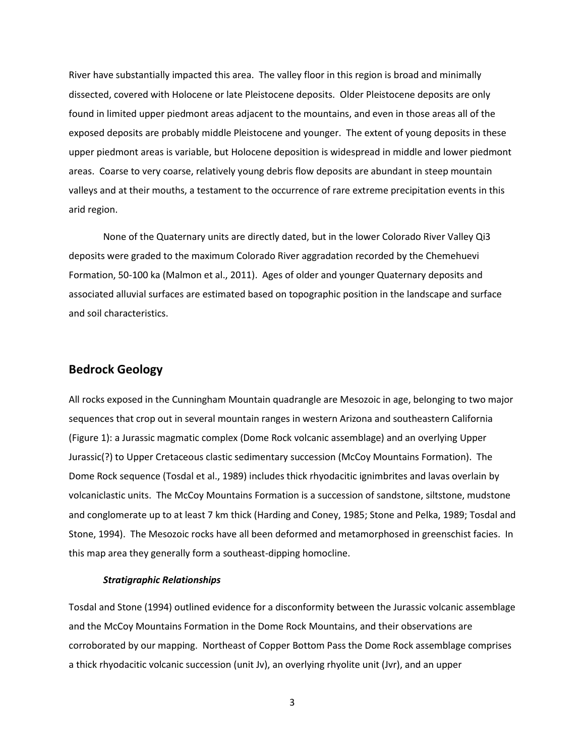River have substantially impacted this area. The valley floor in this region is broad and minimally dissected, covered with Holocene or late Pleistocene deposits. Older Pleistocene deposits are only found in limited upper piedmont areas adjacent to the mountains, and even in those areas all of the exposed deposits are probably middle Pleistocene and younger. The extent of young deposits in these upper piedmont areas is variable, but Holocene deposition is widespread in middle and lower piedmont areas. Coarse to very coarse, relatively young debris flow deposits are abundant in steep mountain valleys and at their mouths, a testament to the occurrence of rare extreme precipitation events in this arid region.

None of the Quaternary units are directly dated, but in the lower Colorado River Valley Qi3 deposits were graded to the maximum Colorado River aggradation recorded by the Chemehuevi Formation, 50-100 ka (Malmon et al., 2011). Ages of older and younger Quaternary deposits and associated alluvial surfaces are estimated based on topographic position in the landscape and surface and soil characteristics.

## **Bedrock Geology**

All rocks exposed in the Cunningham Mountain quadrangle are Mesozoic in age, belonging to two major sequences that crop out in several mountain ranges in western Arizona and southeastern California (Figure 1): a Jurassic magmatic complex (Dome Rock volcanic assemblage) and an overlying Upper Jurassic(?) to Upper Cretaceous clastic sedimentary succession (McCoy Mountains Formation). The Dome Rock sequence (Tosdal et al., 1989) includes thick rhyodacitic ignimbrites and lavas overlain by volcaniclastic units. The McCoy Mountains Formation is a succession of sandstone, siltstone, mudstone and conglomerate up to at least 7 km thick (Harding and Coney, 1985; Stone and Pelka, 1989; Tosdal and Stone, 1994). The Mesozoic rocks have all been deformed and metamorphosed in greenschist facies. In this map area they generally form a southeast-dipping homocline.

#### *Stratigraphic Relationships*

Tosdal and Stone (1994) outlined evidence for a disconformity between the Jurassic volcanic assemblage and the McCoy Mountains Formation in the Dome Rock Mountains, and their observations are corroborated by our mapping. Northeast of Copper Bottom Pass the Dome Rock assemblage comprises a thick rhyodacitic volcanic succession (unit Jv), an overlying rhyolite unit (Jvr), and an upper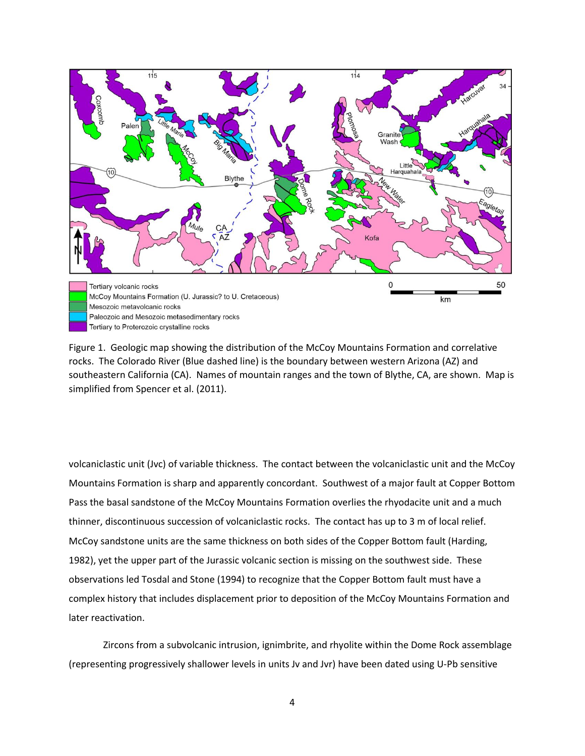

Figure 1. Geologic map showing the distribution of the McCoy Mountains Formation and correlative rocks. The Colorado River (Blue dashed line) is the boundary between western Arizona (AZ) and southeastern California (CA). Names of mountain ranges and the town of Blythe, CA, are shown. Map is simplified from Spencer et al. (2011).

volcaniclastic unit (Jvc) of variable thickness. The contact between the volcaniclastic unit and the McCoy Mountains Formation is sharp and apparently concordant. Southwest of a major fault at Copper Bottom Pass the basal sandstone of the McCoy Mountains Formation overlies the rhyodacite unit and a much thinner, discontinuous succession of volcaniclastic rocks. The contact has up to 3 m of local relief. McCoy sandstone units are the same thickness on both sides of the Copper Bottom fault (Harding, 1982), yet the upper part of the Jurassic volcanic section is missing on the southwest side. These observations led Tosdal and Stone (1994) to recognize that the Copper Bottom fault must have a complex history that includes displacement prior to deposition of the McCoy Mountains Formation and later reactivation.

Zircons from a subvolcanic intrusion, ignimbrite, and rhyolite within the Dome Rock assemblage (representing progressively shallower levels in units Jv and Jvr) have been dated using U-Pb sensitive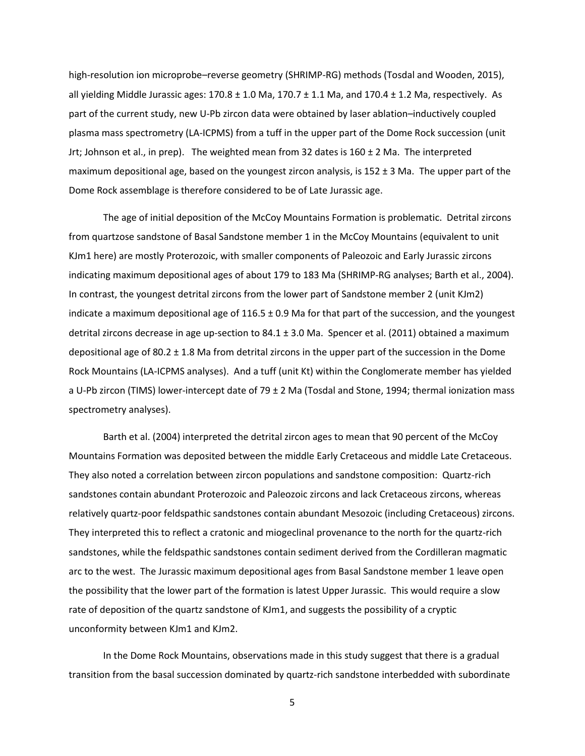high-resolution ion microprobe–reverse geometry (SHRIMP-RG) methods (Tosdal and Wooden, 2015), all yielding Middle Jurassic ages: 170.8 ± 1.0 Ma, 170.7 ± 1.1 Ma, and 170.4 ± 1.2 Ma, respectively. As part of the current study, new U-Pb zircon data were obtained by laser ablation–inductively coupled plasma mass spectrometry (LA-ICPMS) from a tuff in the upper part of the Dome Rock succession (unit Jrt; Johnson et al., in prep). The weighted mean from 32 dates is  $160 \pm 2$  Ma. The interpreted maximum depositional age, based on the youngest zircon analysis, is 152  $\pm$  3 Ma. The upper part of the Dome Rock assemblage is therefore considered to be of Late Jurassic age.

The age of initial deposition of the McCoy Mountains Formation is problematic. Detrital zircons from quartzose sandstone of Basal Sandstone member 1 in the McCoy Mountains (equivalent to unit KJm1 here) are mostly Proterozoic, with smaller components of Paleozoic and Early Jurassic zircons indicating maximum depositional ages of about 179 to 183 Ma (SHRIMP-RG analyses; Barth et al., 2004). In contrast, the youngest detrital zircons from the lower part of Sandstone member 2 (unit KJm2) indicate a maximum depositional age of  $116.5 \pm 0.9$  Ma for that part of the succession, and the youngest detrital zircons decrease in age up-section to 84.1 ± 3.0 Ma. Spencer et al. (2011) obtained a maximum depositional age of 80.2 ± 1.8 Ma from detrital zircons in the upper part of the succession in the Dome Rock Mountains (LA-ICPMS analyses). And a tuff (unit Kt) within the Conglomerate member has yielded a U-Pb zircon (TIMS) lower-intercept date of 79 ± 2 Ma (Tosdal and Stone, 1994; thermal ionization mass spectrometry analyses).

Barth et al. (2004) interpreted the detrital zircon ages to mean that 90 percent of the McCoy Mountains Formation was deposited between the middle Early Cretaceous and middle Late Cretaceous. They also noted a correlation between zircon populations and sandstone composition: Quartz-rich sandstones contain abundant Proterozoic and Paleozoic zircons and lack Cretaceous zircons, whereas relatively quartz-poor feldspathic sandstones contain abundant Mesozoic (including Cretaceous) zircons. They interpreted this to reflect a cratonic and miogeclinal provenance to the north for the quartz-rich sandstones, while the feldspathic sandstones contain sediment derived from the Cordilleran magmatic arc to the west. The Jurassic maximum depositional ages from Basal Sandstone member 1 leave open the possibility that the lower part of the formation is latest Upper Jurassic. This would require a slow rate of deposition of the quartz sandstone of KJm1, and suggests the possibility of a cryptic unconformity between KJm1 and KJm2.

In the Dome Rock Mountains, observations made in this study suggest that there is a gradual transition from the basal succession dominated by quartz-rich sandstone interbedded with subordinate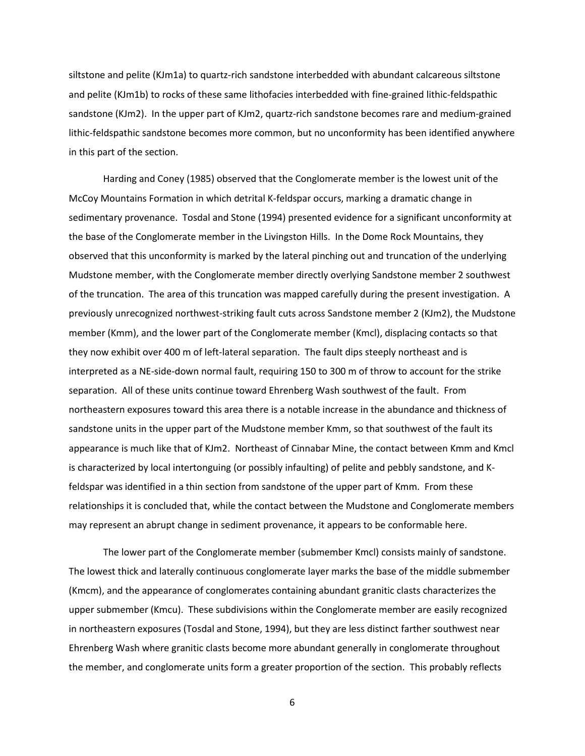siltstone and pelite (KJm1a) to quartz-rich sandstone interbedded with abundant calcareous siltstone and pelite (KJm1b) to rocks of these same lithofacies interbedded with fine-grained lithic-feldspathic sandstone (KJm2). In the upper part of KJm2, quartz-rich sandstone becomes rare and medium-grained lithic-feldspathic sandstone becomes more common, but no unconformity has been identified anywhere in this part of the section.

Harding and Coney (1985) observed that the Conglomerate member is the lowest unit of the McCoy Mountains Formation in which detrital K-feldspar occurs, marking a dramatic change in sedimentary provenance. Tosdal and Stone (1994) presented evidence for a significant unconformity at the base of the Conglomerate member in the Livingston Hills. In the Dome Rock Mountains, they observed that this unconformity is marked by the lateral pinching out and truncation of the underlying Mudstone member, with the Conglomerate member directly overlying Sandstone member 2 southwest of the truncation. The area of this truncation was mapped carefully during the present investigation. A previously unrecognized northwest-striking fault cuts across Sandstone member 2 (KJm2), the Mudstone member (Kmm), and the lower part of the Conglomerate member (Kmcl), displacing contacts so that they now exhibit over 400 m of left-lateral separation. The fault dips steeply northeast and is interpreted as a NE-side-down normal fault, requiring 150 to 300 m of throw to account for the strike separation. All of these units continue toward Ehrenberg Wash southwest of the fault. From northeastern exposures toward this area there is a notable increase in the abundance and thickness of sandstone units in the upper part of the Mudstone member Kmm, so that southwest of the fault its appearance is much like that of KJm2. Northeast of Cinnabar Mine, the contact between Kmm and Kmcl is characterized by local intertonguing (or possibly infaulting) of pelite and pebbly sandstone, and Kfeldspar was identified in a thin section from sandstone of the upper part of Kmm. From these relationships it is concluded that, while the contact between the Mudstone and Conglomerate members may represent an abrupt change in sediment provenance, it appears to be conformable here.

The lower part of the Conglomerate member (submember Kmcl) consists mainly of sandstone. The lowest thick and laterally continuous conglomerate layer marks the base of the middle submember (Kmcm), and the appearance of conglomerates containing abundant granitic clasts characterizes the upper submember (Kmcu). These subdivisions within the Conglomerate member are easily recognized in northeastern exposures (Tosdal and Stone, 1994), but they are less distinct farther southwest near Ehrenberg Wash where granitic clasts become more abundant generally in conglomerate throughout the member, and conglomerate units form a greater proportion of the section. This probably reflects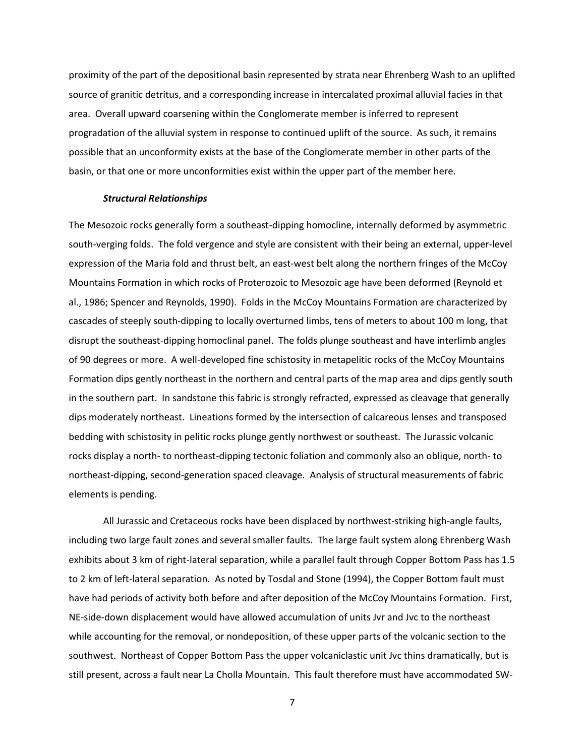proximity of the part of the depositional basin represented by strata near Ehrenberg Wash to an uplifted source of granitic detritus, and a corresponding increase in intercalated proximal alluvial facies in that area. Overall upward coarsening within the Conglomerate member is inferred to represent progradation of the alluvial system in response to continued uplift of the source. As such, it remains possible that an unconformity exists at the base of the Conglomerate member in other parts of the basin, or that one or more unconformities exist within the upper part of the member here.

#### *Structural Relationships*

The Mesozoic rocks generally form a southeast-dipping homocline, internally deformed by asymmetric south-verging folds. The fold vergence and style are consistent with their being an external, upper-level expression of the Maria fold and thrust belt, an east-west belt along the northern fringes of the McCoy Mountains Formation in which rocks of Proterozoic to Mesozoic age have been deformed (Reynold et al., 1986; Spencer and Reynolds, 1990). Folds in the McCoy Mountains Formation are characterized by cascades of steeply south-dipping to locally overturned limbs, tens of meters to about 100 m long, that disrupt the southeast-dipping homoclinal panel. The folds plunge southeast and have interlimb angles of 90 degrees or more. A well-developed fine schistosity in metapelitic rocks of the McCoy Mountains Formation dips gently northeast in the northern and central parts of the map area and dips gently south in the southern part. In sandstone this fabric is strongly refracted, expressed as cleavage that generally dips moderately northeast. Lineations formed by the intersection of calcareous lenses and transposed bedding with schistosity in pelitic rocks plunge gently northwest or southeast. The Jurassic volcanic rocks display a north- to northeast-dipping tectonic foliation and commonly also an oblique, north- to northeast-dipping, second-generation spaced cleavage. Analysis of structural measurements of fabric elements is pending.

All Jurassic and Cretaceous rocks have been displaced by northwest-striking high-angle faults, including two large fault zones and several smaller faults. The large fault system along Ehrenberg Wash exhibits about 3 km of right-lateral separation, while a parallel fault through Copper Bottom Pass has 1.5 to 2 km of left-lateral separation. As noted by Tosdal and Stone (1994), the Copper Bottom fault must have had periods of activity both before and after deposition of the McCoy Mountains Formation. First, NE-side-down displacement would have allowed accumulation of units Jvr and Jvc to the northeast while accounting for the removal, or nondeposition, of these upper parts of the volcanic section to the southwest. Northeast of Copper Bottom Pass the upper volcaniclastic unit Jvc thins dramatically, but is still present, across a fault near La Cholla Mountain. This fault therefore must have accommodated SW-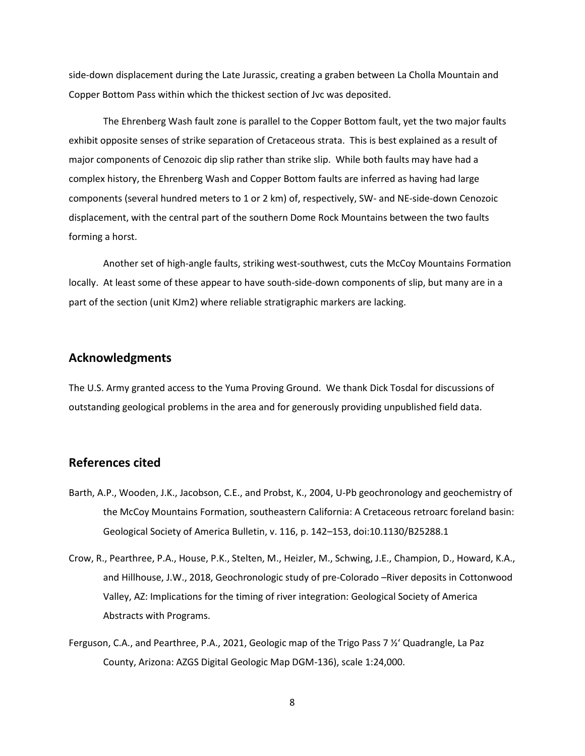side-down displacement during the Late Jurassic, creating a graben between La Cholla Mountain and Copper Bottom Pass within which the thickest section of Jvc was deposited.

The Ehrenberg Wash fault zone is parallel to the Copper Bottom fault, yet the two major faults exhibit opposite senses of strike separation of Cretaceous strata. This is best explained as a result of major components of Cenozoic dip slip rather than strike slip. While both faults may have had a complex history, the Ehrenberg Wash and Copper Bottom faults are inferred as having had large components (several hundred meters to 1 or 2 km) of, respectively, SW- and NE-side-down Cenozoic displacement, with the central part of the southern Dome Rock Mountains between the two faults forming a horst.

Another set of high-angle faults, striking west-southwest, cuts the McCoy Mountains Formation locally. At least some of these appear to have south-side-down components of slip, but many are in a part of the section (unit KJm2) where reliable stratigraphic markers are lacking.

## **Acknowledgments**

The U.S. Army granted access to the Yuma Proving Ground. We thank Dick Tosdal for discussions of outstanding geological problems in the area and for generously providing unpublished field data.

## **References cited**

- Barth, A.P., Wooden, J.K., Jacobson, C.E., and Probst, K., 2004, U-Pb geochronology and geochemistry of the McCoy Mountains Formation, southeastern California: A Cretaceous retroarc foreland basin: Geological Society of America Bulletin, v. 116, p. 142–153, doi:10.1130/B25288.1
- Crow, R., Pearthree, P.A., House, P.K., Stelten, M., Heizler, M., Schwing, J.E., Champion, D., Howard, K.A., and Hillhouse, J.W., 2018, Geochronologic study of pre-Colorado –River deposits in Cottonwood Valley, AZ: Implications for the timing of river integration: Geological Society of America Abstracts with Programs.
- Ferguson, C.A., and Pearthree, P.A., 2021, Geologic map of the Trigo Pass 7 ½' Quadrangle, La Paz County, Arizona: AZGS Digital Geologic Map DGM-136), scale 1:24,000.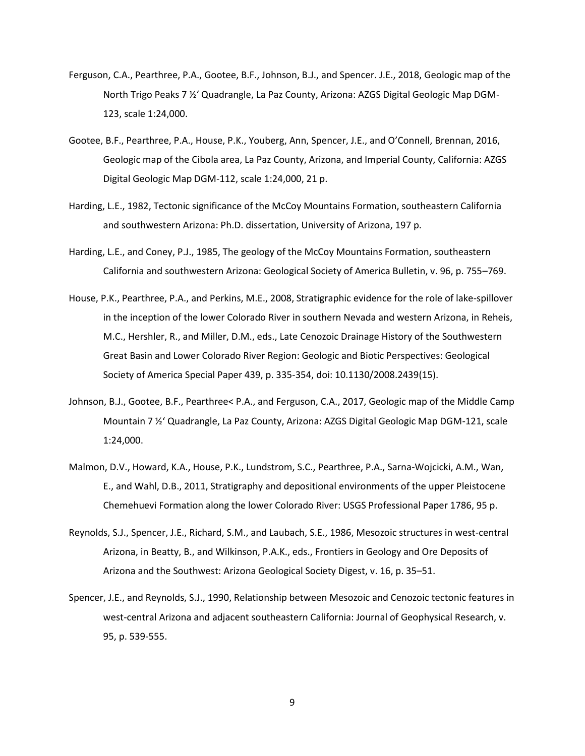- Ferguson, C.A., Pearthree, P.A., Gootee, B.F., Johnson, B.J., and Spencer. J.E., 2018, Geologic map of the North Trigo Peaks 7 ½' Quadrangle, La Paz County, Arizona: AZGS Digital Geologic Map DGM-123, scale 1:24,000.
- Gootee, B.F., Pearthree, P.A., House, P.K., Youberg, Ann, Spencer, J.E., and O'Connell, Brennan, 2016, Geologic map of the Cibola area, La Paz County, Arizona, and Imperial County, California: AZGS Digital Geologic Map DGM-112, scale 1:24,000, 21 p.
- Harding, L.E., 1982, Tectonic significance of the McCoy Mountains Formation, southeastern California and southwestern Arizona: Ph.D. dissertation, University of Arizona, 197 p.
- Harding, L.E., and Coney, P.J., 1985, The geology of the McCoy Mountains Formation, southeastern California and southwestern Arizona: Geological Society of America Bulletin, v. 96, p. 755–769.
- House, P.K., Pearthree, P.A., and Perkins, M.E., 2008, Stratigraphic evidence for the role of lake-spillover in the inception of the lower Colorado River in southern Nevada and western Arizona, in Reheis, M.C., Hershler, R., and Miller, D.M., eds., Late Cenozoic Drainage History of the Southwestern Great Basin and Lower Colorado River Region: Geologic and Biotic Perspectives: Geological Society of America Special Paper 439, p. 335-354, doi: 10.1130/2008.2439(15).
- Johnson, B.J., Gootee, B.F., Pearthree< P.A., and Ferguson, C.A., 2017, Geologic map of the Middle Camp Mountain 7 ½' Quadrangle, La Paz County, Arizona: AZGS Digital Geologic Map DGM-121, scale 1:24,000.
- Malmon, D.V., Howard, K.A., House, P.K., Lundstrom, S.C., Pearthree, P.A., Sarna-Wojcicki, A.M., Wan, E., and Wahl, D.B., 2011, Stratigraphy and depositional environments of the upper Pleistocene Chemehuevi Formation along the lower Colorado River: USGS Professional Paper 1786, 95 p.
- Reynolds, S.J., Spencer, J.E., Richard, S.M., and Laubach, S.E., 1986, Mesozoic structures in west-central Arizona, in Beatty, B., and Wilkinson, P.A.K., eds., Frontiers in Geology and Ore Deposits of Arizona and the Southwest: Arizona Geological Society Digest, v. 16, p. 35–51.
- Spencer, J.E., and Reynolds, S.J., 1990, Relationship between Mesozoic and Cenozoic tectonic features in west-central Arizona and adjacent southeastern California: Journal of Geophysical Research, v. 95, p. 539-555.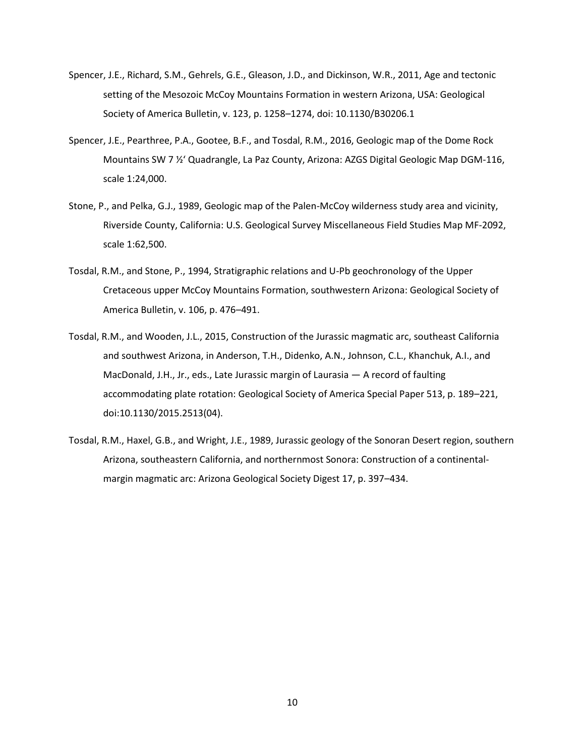- Spencer, J.E., Richard, S.M., Gehrels, G.E., Gleason, J.D., and Dickinson, W.R., 2011, Age and tectonic setting of the Mesozoic McCoy Mountains Formation in western Arizona, USA: Geological Society of America Bulletin, v. 123, p. 1258–1274, doi: 10.1130/B30206.1
- Spencer, J.E., Pearthree, P.A., Gootee, B.F., and Tosdal, R.M., 2016, Geologic map of the Dome Rock Mountains SW 7 ½' Quadrangle, La Paz County, Arizona: AZGS Digital Geologic Map DGM-116, scale 1:24,000.
- Stone, P., and Pelka, G.J., 1989, Geologic map of the Palen-McCoy wilderness study area and vicinity, Riverside County, California: U.S. Geological Survey Miscellaneous Field Studies Map MF-2092, scale 1:62,500.
- Tosdal, R.M., and Stone, P., 1994, Stratigraphic relations and U-Pb geochronology of the Upper Cretaceous upper McCoy Mountains Formation, southwestern Arizona: Geological Society of America Bulletin, v. 106, p. 476–491.
- Tosdal, R.M., and Wooden, J.L., 2015, Construction of the Jurassic magmatic arc, southeast California and southwest Arizona, in Anderson, T.H., Didenko, A.N., Johnson, C.L., Khanchuk, A.I., and MacDonald, J.H., Jr., eds., Late Jurassic margin of Laurasia — A record of faulting accommodating plate rotation: Geological Society of America Special Paper 513, p. 189–221, doi:10.1130/2015.2513(04).
- Tosdal, R.M., Haxel, G.B., and Wright, J.E., 1989, Jurassic geology of the Sonoran Desert region, southern Arizona, southeastern California, and northernmost Sonora: Construction of a continentalmargin magmatic arc: Arizona Geological Society Digest 17, p. 397–434.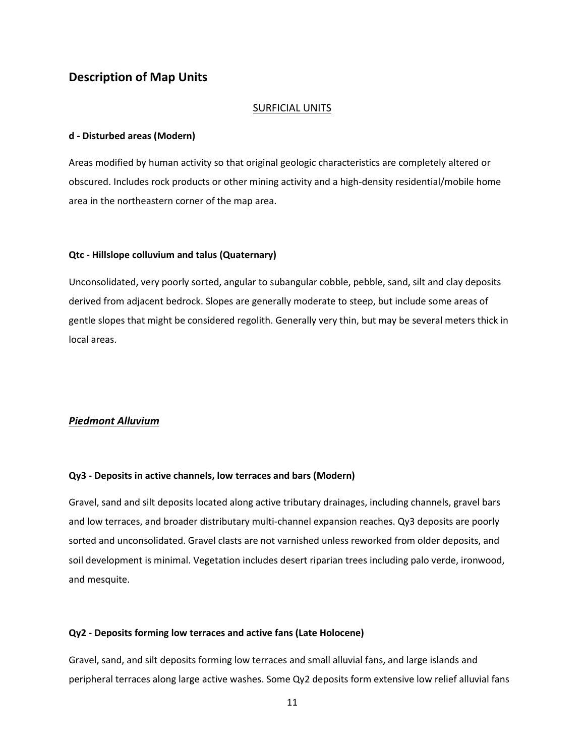## **Description of Map Units**

#### SURFICIAL UNITS

#### **d - Disturbed areas (Modern)**

Areas modified by human activity so that original geologic characteristics are completely altered or obscured. Includes rock products or other mining activity and a high-density residential/mobile home area in the northeastern corner of the map area.

#### **Qtc - Hillslope colluvium and talus (Quaternary)**

Unconsolidated, very poorly sorted, angular to subangular cobble, pebble, sand, silt and clay deposits derived from adjacent bedrock. Slopes are generally moderate to steep, but include some areas of gentle slopes that might be considered regolith. Generally very thin, but may be several meters thick in local areas.

#### *Piedmont Alluvium*

#### **Qy3 - Deposits in active channels, low terraces and bars (Modern)**

Gravel, sand and silt deposits located along active tributary drainages, including channels, gravel bars and low terraces, and broader distributary multi-channel expansion reaches. Qy3 deposits are poorly sorted and unconsolidated. Gravel clasts are not varnished unless reworked from older deposits, and soil development is minimal. Vegetation includes desert riparian trees including palo verde, ironwood, and mesquite.

#### **Qy2 - Deposits forming low terraces and active fans (Late Holocene)**

Gravel, sand, and silt deposits forming low terraces and small alluvial fans, and large islands and peripheral terraces along large active washes. Some Qy2 deposits form extensive low relief alluvial fans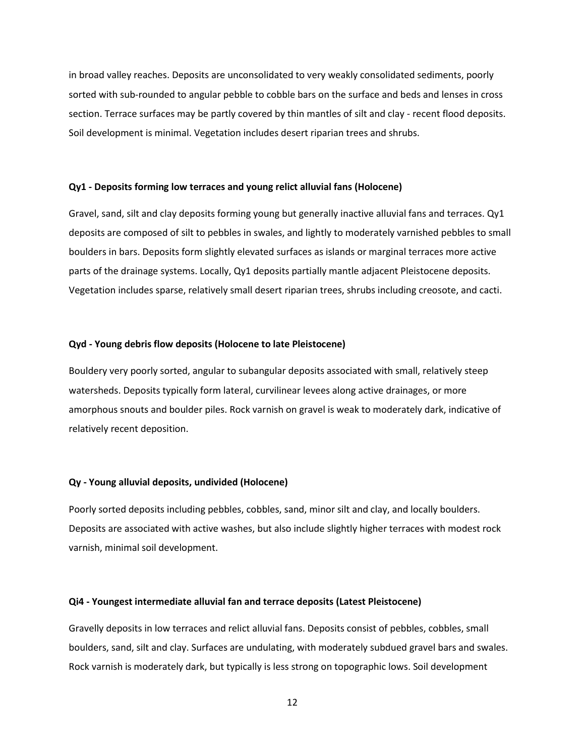in broad valley reaches. Deposits are unconsolidated to very weakly consolidated sediments, poorly sorted with sub-rounded to angular pebble to cobble bars on the surface and beds and lenses in cross section. Terrace surfaces may be partly covered by thin mantles of silt and clay - recent flood deposits. Soil development is minimal. Vegetation includes desert riparian trees and shrubs.

#### **Qy1 - Deposits forming low terraces and young relict alluvial fans (Holocene)**

Gravel, sand, silt and clay deposits forming young but generally inactive alluvial fans and terraces. Qy1 deposits are composed of silt to pebbles in swales, and lightly to moderately varnished pebbles to small boulders in bars. Deposits form slightly elevated surfaces as islands or marginal terraces more active parts of the drainage systems. Locally, Qy1 deposits partially mantle adjacent Pleistocene deposits. Vegetation includes sparse, relatively small desert riparian trees, shrubs including creosote, and cacti.

#### **Qyd - Young debris flow deposits (Holocene to late Pleistocene)**

Bouldery very poorly sorted, angular to subangular deposits associated with small, relatively steep watersheds. Deposits typically form lateral, curvilinear levees along active drainages, or more amorphous snouts and boulder piles. Rock varnish on gravel is weak to moderately dark, indicative of relatively recent deposition.

#### **Qy - Young alluvial deposits, undivided (Holocene)**

Poorly sorted deposits including pebbles, cobbles, sand, minor silt and clay, and locally boulders. Deposits are associated with active washes, but also include slightly higher terraces with modest rock varnish, minimal soil development.

#### **Qi4 - Youngest intermediate alluvial fan and terrace deposits (Latest Pleistocene)**

Gravelly deposits in low terraces and relict alluvial fans. Deposits consist of pebbles, cobbles, small boulders, sand, silt and clay. Surfaces are undulating, with moderately subdued gravel bars and swales. Rock varnish is moderately dark, but typically is less strong on topographic lows. Soil development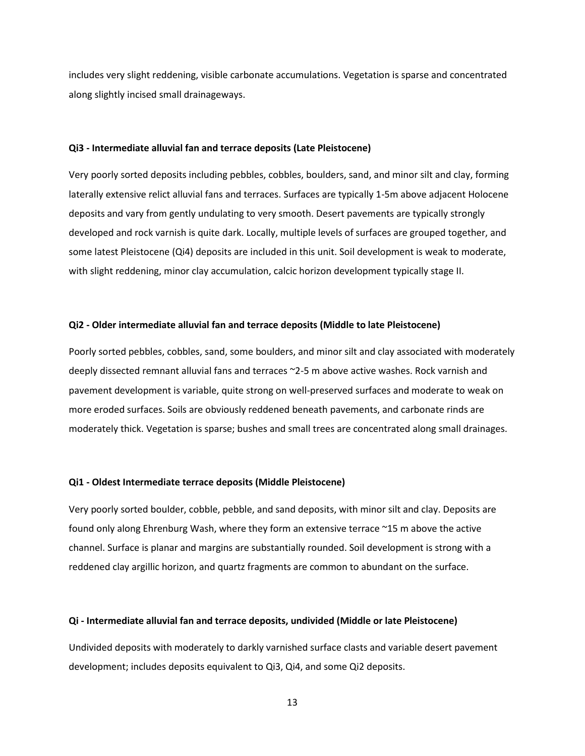includes very slight reddening, visible carbonate accumulations. Vegetation is sparse and concentrated along slightly incised small drainageways.

#### **Qi3 - Intermediate alluvial fan and terrace deposits (Late Pleistocene)**

Very poorly sorted deposits including pebbles, cobbles, boulders, sand, and minor silt and clay, forming laterally extensive relict alluvial fans and terraces. Surfaces are typically 1-5m above adjacent Holocene deposits and vary from gently undulating to very smooth. Desert pavements are typically strongly developed and rock varnish is quite dark. Locally, multiple levels of surfaces are grouped together, and some latest Pleistocene (Qi4) deposits are included in this unit. Soil development is weak to moderate, with slight reddening, minor clay accumulation, calcic horizon development typically stage II.

#### **Qi2 - Older intermediate alluvial fan and terrace deposits (Middle to late Pleistocene)**

Poorly sorted pebbles, cobbles, sand, some boulders, and minor silt and clay associated with moderately deeply dissected remnant alluvial fans and terraces ~2-5 m above active washes. Rock varnish and pavement development is variable, quite strong on well-preserved surfaces and moderate to weak on more eroded surfaces. Soils are obviously reddened beneath pavements, and carbonate rinds are moderately thick. Vegetation is sparse; bushes and small trees are concentrated along small drainages.

#### **Qi1 - Oldest Intermediate terrace deposits (Middle Pleistocene)**

Very poorly sorted boulder, cobble, pebble, and sand deposits, with minor silt and clay. Deposits are found only along Ehrenburg Wash, where they form an extensive terrace ~15 m above the active channel. Surface is planar and margins are substantially rounded. Soil development is strong with a reddened clay argillic horizon, and quartz fragments are common to abundant on the surface.

#### **Qi - Intermediate alluvial fan and terrace deposits, undivided (Middle or late Pleistocene)**

Undivided deposits with moderately to darkly varnished surface clasts and variable desert pavement development; includes deposits equivalent to Qi3, Qi4, and some Qi2 deposits.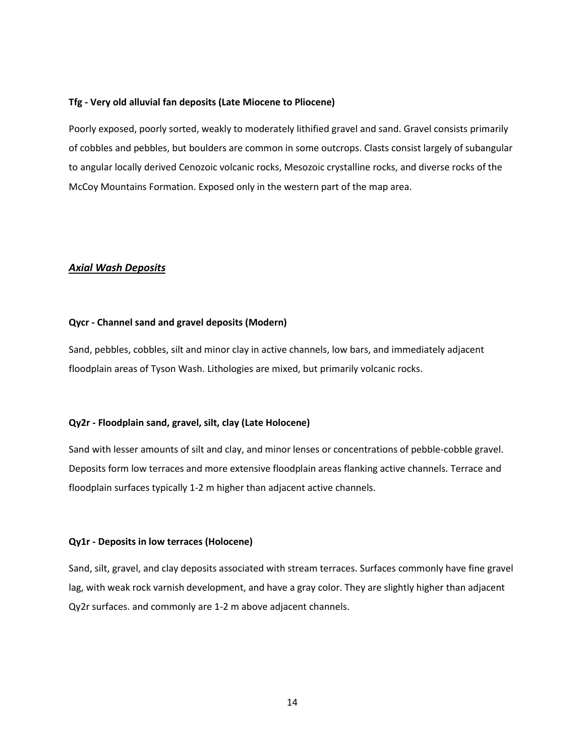#### **Tfg - Very old alluvial fan deposits (Late Miocene to Pliocene)**

Poorly exposed, poorly sorted, weakly to moderately lithified gravel and sand. Gravel consists primarily of cobbles and pebbles, but boulders are common in some outcrops. Clasts consist largely of subangular to angular locally derived Cenozoic volcanic rocks, Mesozoic crystalline rocks, and diverse rocks of the McCoy Mountains Formation. Exposed only in the western part of the map area.

### *Axial Wash Deposits*

#### **Qycr - Channel sand and gravel deposits (Modern)**

Sand, pebbles, cobbles, silt and minor clay in active channels, low bars, and immediately adjacent floodplain areas of Tyson Wash. Lithologies are mixed, but primarily volcanic rocks.

#### **Qy2r - Floodplain sand, gravel, silt, clay (Late Holocene)**

Sand with lesser amounts of silt and clay, and minor lenses or concentrations of pebble-cobble gravel. Deposits form low terraces and more extensive floodplain areas flanking active channels. Terrace and floodplain surfaces typically 1-2 m higher than adjacent active channels.

#### **Qy1r - Deposits in low terraces (Holocene)**

Sand, silt, gravel, and clay deposits associated with stream terraces. Surfaces commonly have fine gravel lag, with weak rock varnish development, and have a gray color. They are slightly higher than adjacent Qy2r surfaces. and commonly are 1-2 m above adjacent channels.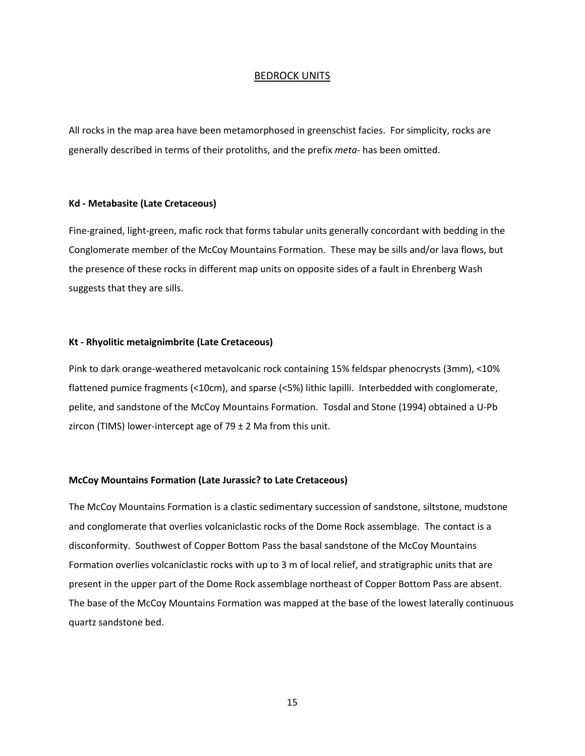#### BEDROCK UNITS

All rocks in the map area have been metamorphosed in greenschist facies. For simplicity, rocks are generally described in terms of their protoliths, and the prefix *meta-* has been omitted.

#### **Kd - Metabasite (Late Cretaceous)**

Fine-grained, light-green, mafic rock that forms tabular units generally concordant with bedding in the Conglomerate member of the McCoy Mountains Formation. These may be sills and/or lava flows, but the presence of these rocks in different map units on opposite sides of a fault in Ehrenberg Wash suggests that they are sills.

#### **Kt - Rhyolitic metaignimbrite (Late Cretaceous)**

Pink to dark orange-weathered metavolcanic rock containing 15% feldspar phenocrysts (3mm), <10% flattened pumice fragments (<10cm), and sparse (<5%) lithic lapilli. Interbedded with conglomerate, pelite, and sandstone of the McCoy Mountains Formation. Tosdal and Stone (1994) obtained a U-Pb zircon (TIMS) lower-intercept age of  $79 \pm 2$  Ma from this unit.

#### **McCoy Mountains Formation (Late Jurassic? to Late Cretaceous)**

The McCoy Mountains Formation is a clastic sedimentary succession of sandstone, siltstone, mudstone and conglomerate that overlies volcaniclastic rocks of the Dome Rock assemblage. The contact is a disconformity. Southwest of Copper Bottom Pass the basal sandstone of the McCoy Mountains Formation overlies volcaniclastic rocks with up to 3 m of local relief, and stratigraphic units that are present in the upper part of the Dome Rock assemblage northeast of Copper Bottom Pass are absent. The base of the McCoy Mountains Formation was mapped at the base of the lowest laterally continuous quartz sandstone bed.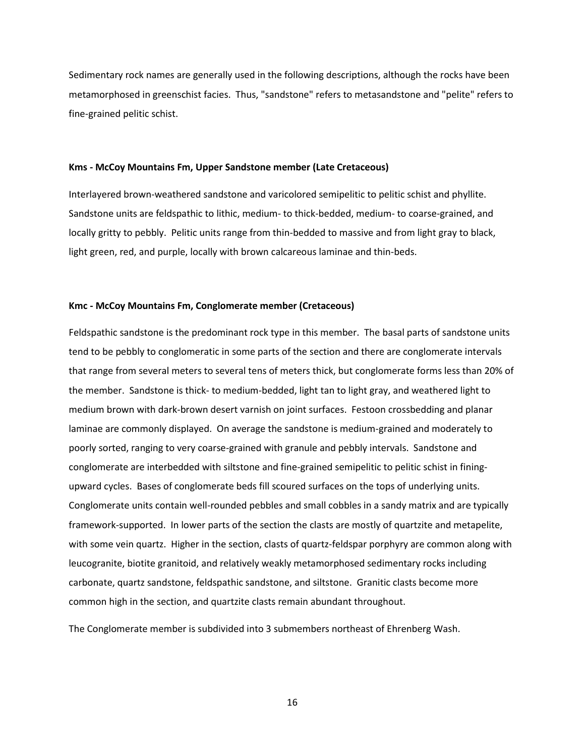Sedimentary rock names are generally used in the following descriptions, although the rocks have been metamorphosed in greenschist facies. Thus, "sandstone" refers to metasandstone and "pelite" refers to fine-grained pelitic schist.

#### **Kms - McCoy Mountains Fm, Upper Sandstone member (Late Cretaceous)**

Interlayered brown-weathered sandstone and varicolored semipelitic to pelitic schist and phyllite. Sandstone units are feldspathic to lithic, medium- to thick-bedded, medium- to coarse-grained, and locally gritty to pebbly. Pelitic units range from thin-bedded to massive and from light gray to black, light green, red, and purple, locally with brown calcareous laminae and thin-beds.

#### **Kmc - McCoy Mountains Fm, Conglomerate member (Cretaceous)**

Feldspathic sandstone is the predominant rock type in this member. The basal parts of sandstone units tend to be pebbly to conglomeratic in some parts of the section and there are conglomerate intervals that range from several meters to several tens of meters thick, but conglomerate forms less than 20% of the member. Sandstone is thick- to medium-bedded, light tan to light gray, and weathered light to medium brown with dark-brown desert varnish on joint surfaces. Festoon crossbedding and planar laminae are commonly displayed. On average the sandstone is medium-grained and moderately to poorly sorted, ranging to very coarse-grained with granule and pebbly intervals. Sandstone and conglomerate are interbedded with siltstone and fine-grained semipelitic to pelitic schist in finingupward cycles. Bases of conglomerate beds fill scoured surfaces on the tops of underlying units. Conglomerate units contain well-rounded pebbles and small cobbles in a sandy matrix and are typically framework-supported. In lower parts of the section the clasts are mostly of quartzite and metapelite, with some vein quartz. Higher in the section, clasts of quartz-feldspar porphyry are common along with leucogranite, biotite granitoid, and relatively weakly metamorphosed sedimentary rocks including carbonate, quartz sandstone, feldspathic sandstone, and siltstone. Granitic clasts become more common high in the section, and quartzite clasts remain abundant throughout.

The Conglomerate member is subdivided into 3 submembers northeast of Ehrenberg Wash.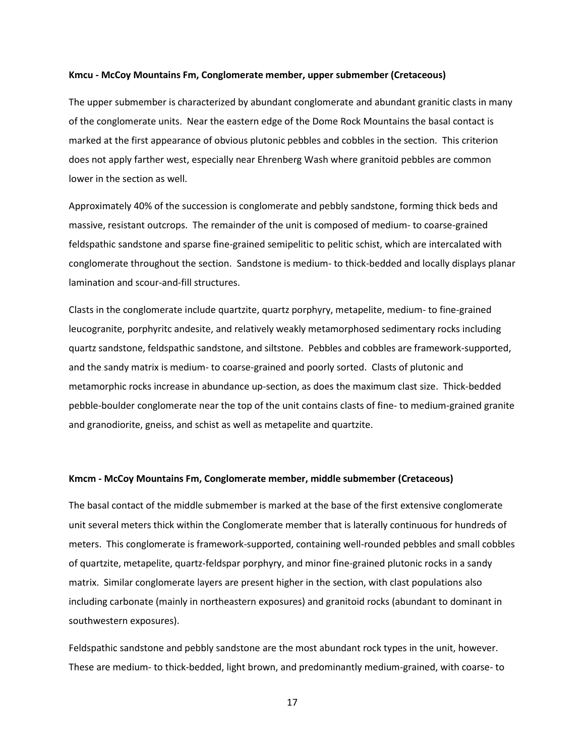#### **Kmcu - McCoy Mountains Fm, Conglomerate member, upper submember (Cretaceous)**

The upper submember is characterized by abundant conglomerate and abundant granitic clasts in many of the conglomerate units. Near the eastern edge of the Dome Rock Mountains the basal contact is marked at the first appearance of obvious plutonic pebbles and cobbles in the section. This criterion does not apply farther west, especially near Ehrenberg Wash where granitoid pebbles are common lower in the section as well.

Approximately 40% of the succession is conglomerate and pebbly sandstone, forming thick beds and massive, resistant outcrops. The remainder of the unit is composed of medium- to coarse-grained feldspathic sandstone and sparse fine-grained semipelitic to pelitic schist, which are intercalated with conglomerate throughout the section. Sandstone is medium- to thick-bedded and locally displays planar lamination and scour-and-fill structures.

Clasts in the conglomerate include quartzite, quartz porphyry, metapelite, medium- to fine-grained leucogranite, porphyritc andesite, and relatively weakly metamorphosed sedimentary rocks including quartz sandstone, feldspathic sandstone, and siltstone. Pebbles and cobbles are framework-supported, and the sandy matrix is medium- to coarse-grained and poorly sorted. Clasts of plutonic and metamorphic rocks increase in abundance up-section, as does the maximum clast size. Thick-bedded pebble-boulder conglomerate near the top of the unit contains clasts of fine- to medium-grained granite and granodiorite, gneiss, and schist as well as metapelite and quartzite.

#### **Kmcm - McCoy Mountains Fm, Conglomerate member, middle submember (Cretaceous)**

The basal contact of the middle submember is marked at the base of the first extensive conglomerate unit several meters thick within the Conglomerate member that is laterally continuous for hundreds of meters. This conglomerate is framework-supported, containing well-rounded pebbles and small cobbles of quartzite, metapelite, quartz-feldspar porphyry, and minor fine-grained plutonic rocks in a sandy matrix. Similar conglomerate layers are present higher in the section, with clast populations also including carbonate (mainly in northeastern exposures) and granitoid rocks (abundant to dominant in southwestern exposures).

Feldspathic sandstone and pebbly sandstone are the most abundant rock types in the unit, however. These are medium- to thick-bedded, light brown, and predominantly medium-grained, with coarse- to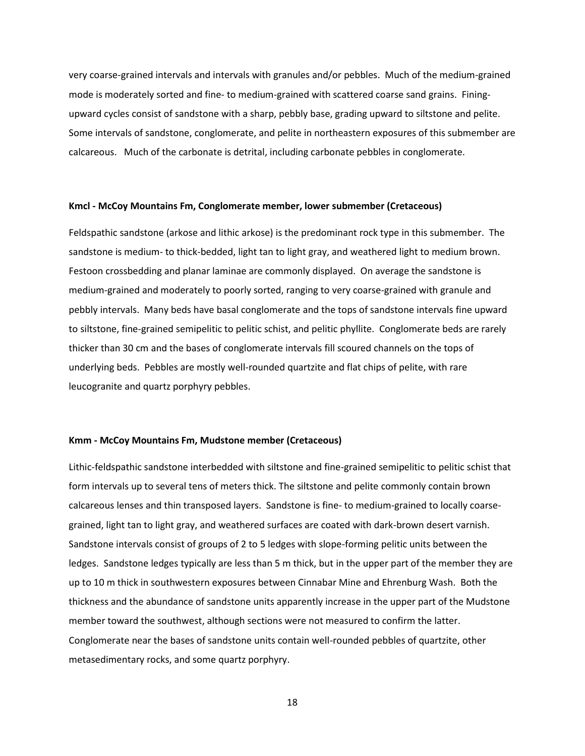very coarse-grained intervals and intervals with granules and/or pebbles. Much of the medium-grained mode is moderately sorted and fine- to medium-grained with scattered coarse sand grains. Finingupward cycles consist of sandstone with a sharp, pebbly base, grading upward to siltstone and pelite. Some intervals of sandstone, conglomerate, and pelite in northeastern exposures of this submember are calcareous. Much of the carbonate is detrital, including carbonate pebbles in conglomerate.

#### **Kmcl - McCoy Mountains Fm, Conglomerate member, lower submember (Cretaceous)**

Feldspathic sandstone (arkose and lithic arkose) is the predominant rock type in this submember. The sandstone is medium- to thick-bedded, light tan to light gray, and weathered light to medium brown. Festoon crossbedding and planar laminae are commonly displayed. On average the sandstone is medium-grained and moderately to poorly sorted, ranging to very coarse-grained with granule and pebbly intervals. Many beds have basal conglomerate and the tops of sandstone intervals fine upward to siltstone, fine-grained semipelitic to pelitic schist, and pelitic phyllite. Conglomerate beds are rarely thicker than 30 cm and the bases of conglomerate intervals fill scoured channels on the tops of underlying beds. Pebbles are mostly well-rounded quartzite and flat chips of pelite, with rare leucogranite and quartz porphyry pebbles.

#### **Kmm - McCoy Mountains Fm, Mudstone member (Cretaceous)**

Lithic-feldspathic sandstone interbedded with siltstone and fine-grained semipelitic to pelitic schist that form intervals up to several tens of meters thick. The siltstone and pelite commonly contain brown calcareous lenses and thin transposed layers. Sandstone is fine- to medium-grained to locally coarsegrained, light tan to light gray, and weathered surfaces are coated with dark-brown desert varnish. Sandstone intervals consist of groups of 2 to 5 ledges with slope-forming pelitic units between the ledges. Sandstone ledges typically are less than 5 m thick, but in the upper part of the member they are up to 10 m thick in southwestern exposures between Cinnabar Mine and Ehrenburg Wash. Both the thickness and the abundance of sandstone units apparently increase in the upper part of the Mudstone member toward the southwest, although sections were not measured to confirm the latter. Conglomerate near the bases of sandstone units contain well-rounded pebbles of quartzite, other metasedimentary rocks, and some quartz porphyry.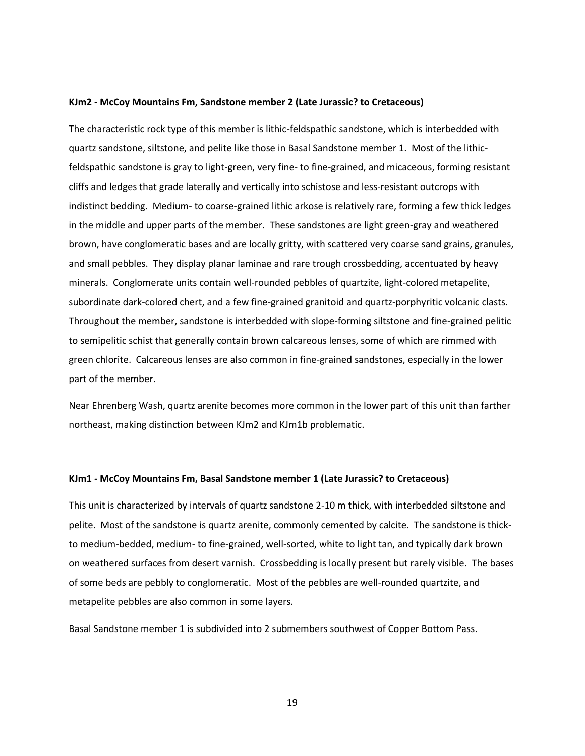#### **KJm2 - McCoy Mountains Fm, Sandstone member 2 (Late Jurassic? to Cretaceous)**

The characteristic rock type of this member is lithic-feldspathic sandstone, which is interbedded with quartz sandstone, siltstone, and pelite like those in Basal Sandstone member 1. Most of the lithicfeldspathic sandstone is gray to light-green, very fine- to fine-grained, and micaceous, forming resistant cliffs and ledges that grade laterally and vertically into schistose and less-resistant outcrops with indistinct bedding. Medium- to coarse-grained lithic arkose is relatively rare, forming a few thick ledges in the middle and upper parts of the member. These sandstones are light green-gray and weathered brown, have conglomeratic bases and are locally gritty, with scattered very coarse sand grains, granules, and small pebbles. They display planar laminae and rare trough crossbedding, accentuated by heavy minerals. Conglomerate units contain well-rounded pebbles of quartzite, light-colored metapelite, subordinate dark-colored chert, and a few fine-grained granitoid and quartz-porphyritic volcanic clasts. Throughout the member, sandstone is interbedded with slope-forming siltstone and fine-grained pelitic to semipelitic schist that generally contain brown calcareous lenses, some of which are rimmed with green chlorite. Calcareous lenses are also common in fine-grained sandstones, especially in the lower part of the member.

Near Ehrenberg Wash, quartz arenite becomes more common in the lower part of this unit than farther northeast, making distinction between KJm2 and KJm1b problematic.

#### **KJm1 - McCoy Mountains Fm, Basal Sandstone member 1 (Late Jurassic? to Cretaceous)**

This unit is characterized by intervals of quartz sandstone 2-10 m thick, with interbedded siltstone and pelite. Most of the sandstone is quartz arenite, commonly cemented by calcite. The sandstone is thickto medium-bedded, medium- to fine-grained, well-sorted, white to light tan, and typically dark brown on weathered surfaces from desert varnish. Crossbedding is locally present but rarely visible. The bases of some beds are pebbly to conglomeratic. Most of the pebbles are well-rounded quartzite, and metapelite pebbles are also common in some layers.

Basal Sandstone member 1 is subdivided into 2 submembers southwest of Copper Bottom Pass.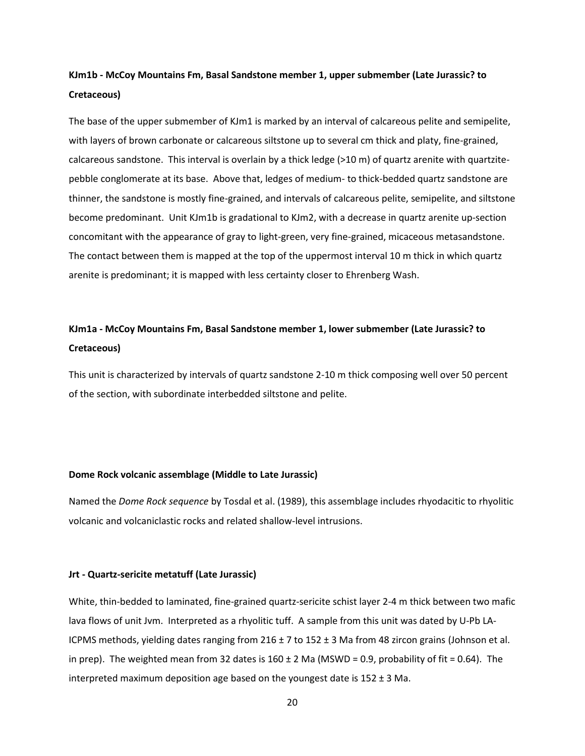# **KJm1b - McCoy Mountains Fm, Basal Sandstone member 1, upper submember (Late Jurassic? to Cretaceous)**

The base of the upper submember of KJm1 is marked by an interval of calcareous pelite and semipelite, with layers of brown carbonate or calcareous siltstone up to several cm thick and platy, fine-grained, calcareous sandstone. This interval is overlain by a thick ledge (>10 m) of quartz arenite with quartzitepebble conglomerate at its base. Above that, ledges of medium- to thick-bedded quartz sandstone are thinner, the sandstone is mostly fine-grained, and intervals of calcareous pelite, semipelite, and siltstone become predominant. Unit KJm1b is gradational to KJm2, with a decrease in quartz arenite up-section concomitant with the appearance of gray to light-green, very fine-grained, micaceous metasandstone. The contact between them is mapped at the top of the uppermost interval 10 m thick in which quartz arenite is predominant; it is mapped with less certainty closer to Ehrenberg Wash.

# **KJm1a - McCoy Mountains Fm, Basal Sandstone member 1, lower submember (Late Jurassic? to Cretaceous)**

This unit is characterized by intervals of quartz sandstone 2-10 m thick composing well over 50 percent of the section, with subordinate interbedded siltstone and pelite.

#### **Dome Rock volcanic assemblage (Middle to Late Jurassic)**

Named the *Dome Rock sequence* by Tosdal et al. (1989), this assemblage includes rhyodacitic to rhyolitic volcanic and volcaniclastic rocks and related shallow-level intrusions.

#### **Jrt - Quartz-sericite metatuff (Late Jurassic)**

White, thin-bedded to laminated, fine-grained quartz-sericite schist layer 2-4 m thick between two mafic lava flows of unit Jvm. Interpreted as a rhyolitic tuff. A sample from this unit was dated by U-Pb LA-ICPMS methods, yielding dates ranging from 216 ± 7 to 152 ± 3 Ma from 48 zircon grains (Johnson et al. in prep). The weighted mean from 32 dates is  $160 \pm 2$  Ma (MSWD = 0.9, probability of fit = 0.64). The interpreted maximum deposition age based on the youngest date is  $152 \pm 3$  Ma.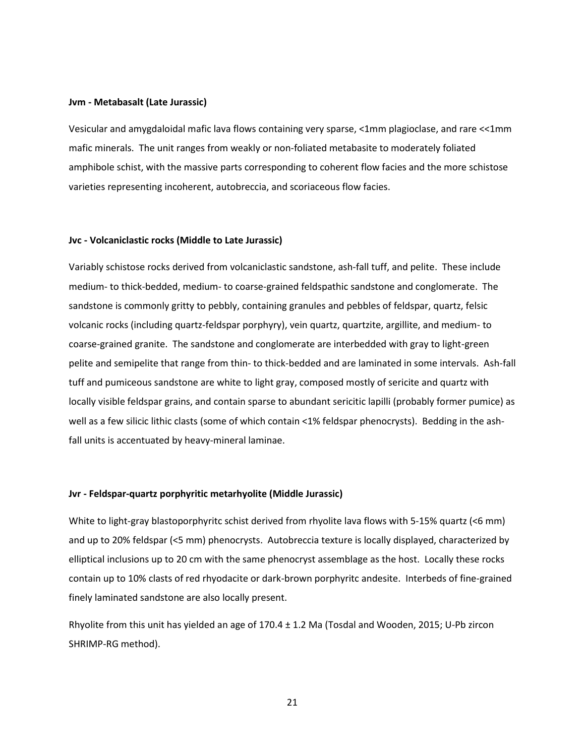#### **Jvm - Metabasalt (Late Jurassic)**

Vesicular and amygdaloidal mafic lava flows containing very sparse, <1mm plagioclase, and rare <<1mm mafic minerals. The unit ranges from weakly or non-foliated metabasite to moderately foliated amphibole schist, with the massive parts corresponding to coherent flow facies and the more schistose varieties representing incoherent, autobreccia, and scoriaceous flow facies.

#### **Jvc - Volcaniclastic rocks (Middle to Late Jurassic)**

Variably schistose rocks derived from volcaniclastic sandstone, ash-fall tuff, and pelite. These include medium- to thick-bedded, medium- to coarse-grained feldspathic sandstone and conglomerate. The sandstone is commonly gritty to pebbly, containing granules and pebbles of feldspar, quartz, felsic volcanic rocks (including quartz-feldspar porphyry), vein quartz, quartzite, argillite, and medium- to coarse-grained granite. The sandstone and conglomerate are interbedded with gray to light-green pelite and semipelite that range from thin- to thick-bedded and are laminated in some intervals. Ash-fall tuff and pumiceous sandstone are white to light gray, composed mostly of sericite and quartz with locally visible feldspar grains, and contain sparse to abundant sericitic lapilli (probably former pumice) as well as a few silicic lithic clasts (some of which contain <1% feldspar phenocrysts). Bedding in the ashfall units is accentuated by heavy-mineral laminae.

#### **Jvr - Feldspar-quartz porphyritic metarhyolite (Middle Jurassic)**

White to light-gray blastoporphyritc schist derived from rhyolite lava flows with 5-15% quartz (<6 mm) and up to 20% feldspar (<5 mm) phenocrysts. Autobreccia texture is locally displayed, characterized by elliptical inclusions up to 20 cm with the same phenocryst assemblage as the host. Locally these rocks contain up to 10% clasts of red rhyodacite or dark-brown porphyritc andesite. Interbeds of fine-grained finely laminated sandstone are also locally present.

Rhyolite from this unit has yielded an age of 170.4 ± 1.2 Ma (Tosdal and Wooden, 2015; U-Pb zircon SHRIMP-RG method).